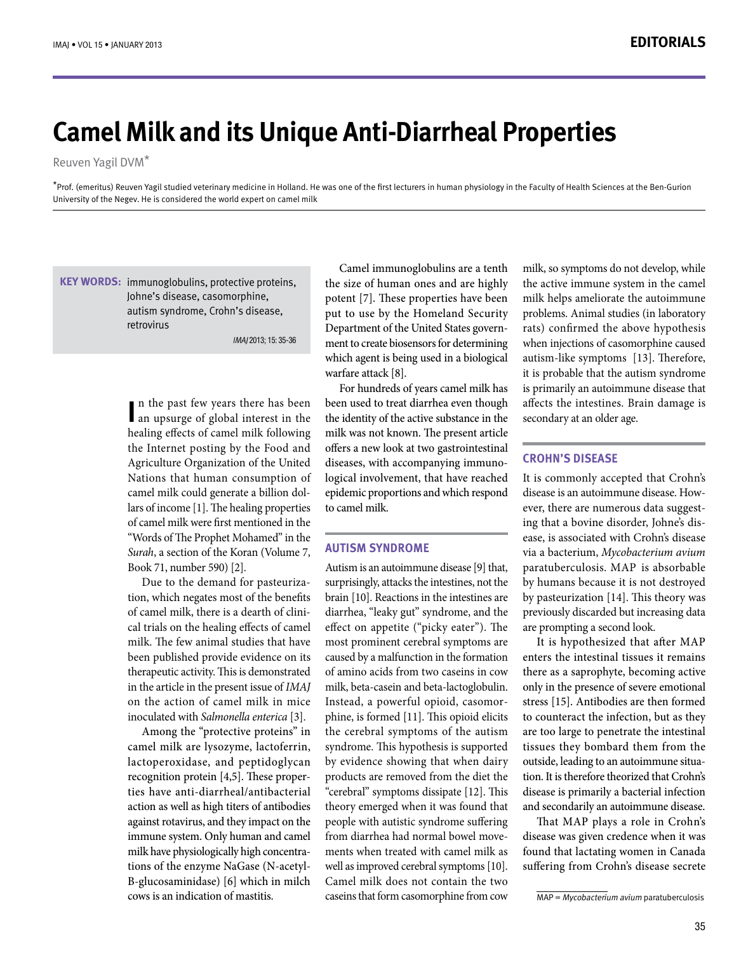# **Camel Milk and its Unique Anti-Diarrheal Properties**

Reuven Yagil DVM<sup>\*</sup>

\*Prof. (emeritus) Reuven Yagil studied veterinary medicine in Holland. He was one of the first lecturers in human physiology in the Faculty of Health Sciences at the Ben-Gurion University of the Negev. He is considered the world expert on camel milk

KEY WORDS: immunoglobulins, protective proteins, Johne's disease, casomorphine, autism syndrome, Crohn's disease, retrovirus

IMAJ 2013; 15: 35-36

In the past few years there has been<br>
an upsurge of global interest in the  $\blacksquare$  n the past few years there has been healing effects of camel milk following the Internet posting by the Food and Agriculture Organization of the United Nations that human consumption of lars of income  $[1]$ . The healing properties camel milk could generate a billion dolof camel milk were first mentioned in the "Words of The Prophet Mohamed" in the Surah, a section of the Koran (Volume 7, Book 71, number 590) [2].

tion, which negates most of the benefits Due to the demand for pasteurizacal trials on the healing effects of camel of camel milk, there is a dearth of clinimilk. The few animal studies that have been published provide evidence on its therapeutic activity. This is demonstrated in the article in the present issue of *IMAJ* on the action of camel milk in mice inoculated with Salmonella enterica [3].

Among the "protective proteins" in camel milk are lysozyme, lactoferrin, lactoperoxidase, and peptidoglycan ties have anti-diarrheal/antibacterial recognition protein  $[4,5]$ . These properaction as well as high titers of antibodies against rotavirus, and they impact on the immune system. Only human and camel B-glucosaminidase) [6] which in milch tions of the enzyme NaGase (N-acetylmilk have physiologically high concentracows is an indication of mastitis.

Camel immunoglobulins are a tenth the size of human ones and are highly potent [7]. These properties have been put to use by the Homeland Security ment to create biosensors for determining Department of the United States governwhich agent is being used in a biological warfare attack [8].

For hundreds of years camel milk has been used to treat diarrhea even though the identity of the active substance in the milk was not known. The present article offers a new look at two gastrointestinal logical involvement, that have reached diseases, with accompanying immunoepidemic proportions and which respond to camel milk.

# **AUTISM SYNDROME**

Autism is an autoimmune disease [9] that, surprisingly, attacks the intestines, not the brain [10]. Reactions in the intestines are diarrhea, "leaky gut" syndrome, and the effect on appetite ("picky eater"). The most prominent cerebral symptoms are caused by a malfunction in the formation of amino acids from two caseins in cow milk, beta-casein and beta-lactoglobulin. phine, is formed [11]. This opioid elicits Instead, a powerful opioid, casomorthe cerebral symptoms of the autism syndrome. This hypothesis is supported by evidence showing that when dairy products are removed from the diet the "cerebral" symptoms dissipate [12]. This theory emerged when it was found that people with autistic syndrome suffering ments when treated with camel milk as from diarrhea had normal bowel movewell as improved cerebral symptoms [10]. Camel milk does not contain the two caseins that form casomorphine from cow

milk, so symptoms do not develop, while the active immune system in the camel milk helps ameliorate the autoimmune problems. Animal studies (in laboratory rats) confirmed the above hypothesis when injections of casomorphine caused autism-like symptoms [13]. Therefore, it is probable that the autism syndrome is primarily an autoimmune disease that affects the intestines. Brain damage is secondary at an older age.

# **CROHN'S DISEASE**

It is commonly accepted that Crohn's ease, is associated with Crohn's disease ing that a bovine disorder, Johne's disever, there are numerous data suggestdisease is an autoimmune disease. Howvia a bacterium, Mycobacterium avium paratuberculosis. MAP is absorbable by humans because it is not destroyed by pasteurization  $[14]$ . This theory was previously discarded but increasing data are prompting a second look.

It is hypothesized that after MAP enters the intestinal tissues it remains there as a saprophyte, becoming active only in the presence of severe emotional stress [15]. Antibodies are then formed to counteract the infection, but as they are too large to penetrate the intestinal tissues they bombard them from the tion. It is therefore theorized that Crohn's outside, leading to an autoimmune situadisease is primarily a bacterial infection and secondarily an autoimmune disease.

That MAP plays a role in Crohn's disease was given credence when it was found that lactating women in Canada suffering from Crohn's disease secrete

 $MAP = Mycobacterium avium paratuberculosis$